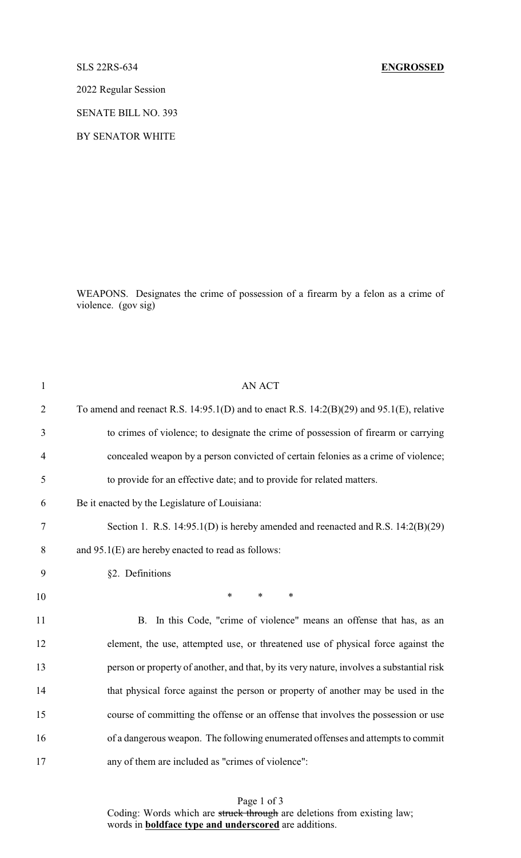## SLS 22RS-634 **ENGROSSED**

2022 Regular Session

SENATE BILL NO. 393

BY SENATOR WHITE

WEAPONS. Designates the crime of possession of a firearm by a felon as a crime of violence. (gov sig)

| $\mathbf{1}$   | <b>AN ACT</b>                                                                                   |
|----------------|-------------------------------------------------------------------------------------------------|
| $\overline{2}$ | To amend and reenact R.S. $14:95.1(D)$ and to enact R.S. $14:2(B)(29)$ and $95.1(E)$ , relative |
| 3              | to crimes of violence; to designate the crime of possession of firearm or carrying              |
| $\overline{4}$ | concealed weapon by a person convicted of certain felonies as a crime of violence;              |
| 5              | to provide for an effective date; and to provide for related matters.                           |
| 6              | Be it enacted by the Legislature of Louisiana:                                                  |
| 7              | Section 1. R.S. 14:95.1(D) is hereby amended and reenacted and R.S. 14:2(B)(29)                 |
| 8              | and 95.1(E) are hereby enacted to read as follows:                                              |
| 9              | §2. Definitions                                                                                 |
| 10             | $\ast$<br>$\ast$<br>$\ast$                                                                      |
| 11             | In this Code, "crime of violence" means an offense that has, as an<br><b>B.</b>                 |
| 12             | element, the use, attempted use, or threatened use of physical force against the                |
| 13             | person or property of another, and that, by its very nature, involves a substantial risk        |
| 14             | that physical force against the person or property of another may be used in the                |
| 15             | course of committing the offense or an offense that involves the possession or use              |
| 16             | of a dangerous weapon. The following enumerated offenses and attempts to commit                 |
| 17             | any of them are included as "crimes of violence":                                               |

Page 1 of 3 Coding: Words which are struck through are deletions from existing law; words in **boldface type and underscored** are additions.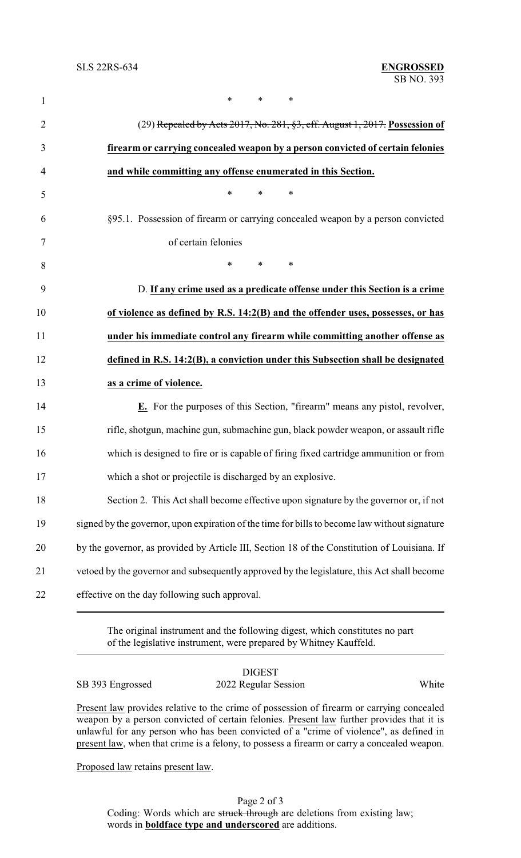| $\mathbf{1}$   | *<br>*                                                                                        |  |  |
|----------------|-----------------------------------------------------------------------------------------------|--|--|
| $\overline{2}$ | (29) Repealed by Acts 2017, No. 281, §3, eff. August 1, 2017. Possession of                   |  |  |
| 3              | firearm or carrying concealed weapon by a person convicted of certain felonies                |  |  |
| 4              | and while committing any offense enumerated in this Section.                                  |  |  |
| 5              | $\ast$<br>$\ast$<br>$\ast$                                                                    |  |  |
| 6              | §95.1. Possession of firearm or carrying concealed weapon by a person convicted               |  |  |
| 7              | of certain felonies                                                                           |  |  |
| 8              | $\ast$<br>$*$ and $*$<br>∗                                                                    |  |  |
| 9              | D. If any crime used as a predicate offense under this Section is a crime                     |  |  |
| 10             | of violence as defined by R.S. 14:2(B) and the offender uses, possesses, or has               |  |  |
| 11             | under his immediate control any firearm while committing another offense as                   |  |  |
| 12             | defined in R.S. 14:2(B), a conviction under this Subsection shall be designated               |  |  |
| 13             | as a crime of violence.                                                                       |  |  |
| 14             | E. For the purposes of this Section, "firearm" means any pistol, revolver,                    |  |  |
| 15             | rifle, shotgun, machine gun, submachine gun, black powder weapon, or assault rifle            |  |  |
| 16             | which is designed to fire or is capable of firing fixed cartridge ammunition or from          |  |  |
| 17             | which a shot or projectile is discharged by an explosive                                      |  |  |
| 18             | Section 2. This Act shall become effective upon signature by the governor or, if not          |  |  |
| 19             | signed by the governor, upon expiration of the time for bills to become law without signature |  |  |
| 20             | by the governor, as provided by Article III, Section 18 of the Constitution of Louisiana. If  |  |  |
| 21             | vetoed by the governor and subsequently approved by the legislature, this Act shall become    |  |  |
| 22             | effective on the day following such approval.                                                 |  |  |
|                |                                                                                               |  |  |

The original instrument and the following digest, which constitutes no part of the legislative instrument, were prepared by Whitney Kauffeld.

| SB 393 Engrossed | <b>DIGEST</b><br>2022 Regular Session                                                     | White |
|------------------|-------------------------------------------------------------------------------------------|-------|
|                  | Present law provides relative to the crime of possession of firearm or carrying concealed |       |

weapon by a person convicted of certain felonies. Present law further provides that it is unlawful for any person who has been convicted of a "crime of violence", as defined in present law, when that crime is a felony, to possess a firearm or carry a concealed weapon.

Proposed law retains present law.

Page 2 of 3 Coding: Words which are struck through are deletions from existing law; words in **boldface type and underscored** are additions.